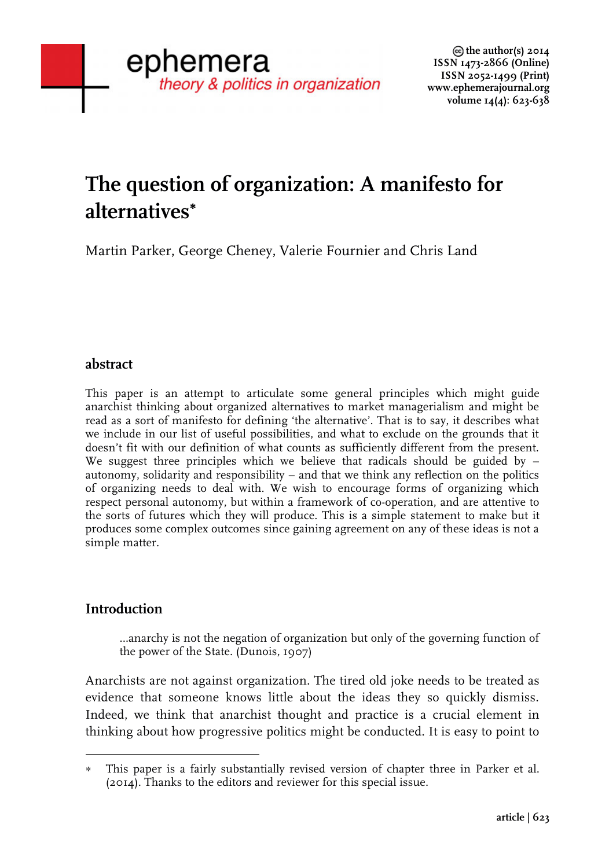# **The question of organization: A manifesto for alternatives**<sup>∗</sup>

Martin Parker, George Cheney, Valerie Fournier and Chris Land

# **abstract**

This paper is an attempt to articulate some general principles which might guide anarchist thinking about organized alternatives to market managerialism and might be read as a sort of manifesto for defining 'the alternative'. That is to say, it describes what we include in our list of useful possibilities, and what to exclude on the grounds that it doesn't fit with our definition of what counts as sufficiently different from the present. We suggest three principles which we believe that radicals should be guided by autonomy, solidarity and responsibility – and that we think any reflection on the politics of organizing needs to deal with. We wish to encourage forms of organizing which respect personal autonomy, but within a framework of co-operation, and are attentive to the sorts of futures which they will produce. This is a simple statement to make but it produces some complex outcomes since gaining agreement on any of these ideas is not a simple matter.

# **Introduction**

…anarchy is not the negation of organization but only of the governing function of the power of the State. (Dunois, 1907)

Anarchists are not against organization. The tired old joke needs to be treated as evidence that someone knows little about the ideas they so quickly dismiss. Indeed, we think that anarchist thought and practice is a crucial element in thinking about how progressive politics might be conducted. It is easy to point to

 ∗ This paper is a fairly substantially revised version of chapter three in Parker et al. (2014). Thanks to the editors and reviewer for this special issue.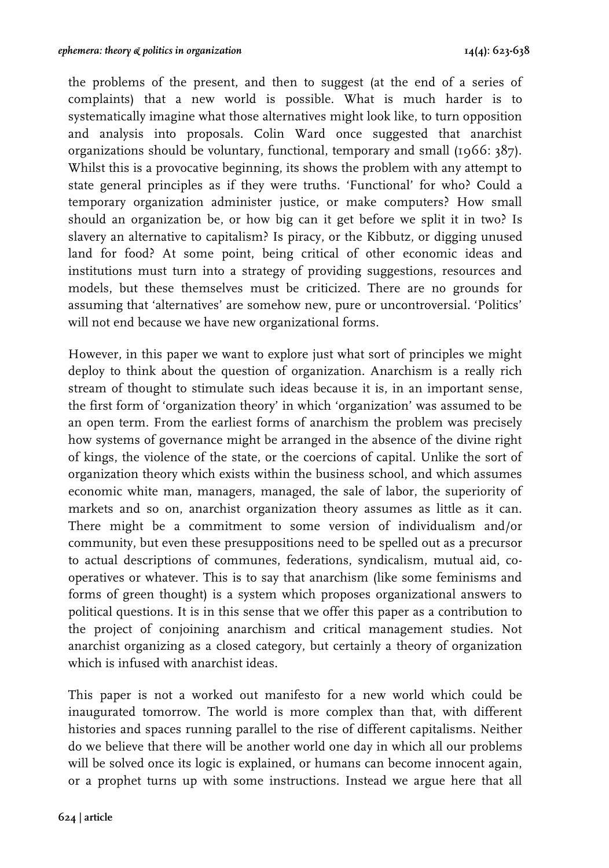the problems of the present, and then to suggest (at the end of a series of complaints) that a new world is possible. What is much harder is to systematically imagine what those alternatives might look like, to turn opposition and analysis into proposals. Colin Ward once suggested that anarchist organizations should be voluntary, functional, temporary and small (1966: 387). Whilst this is a provocative beginning, its shows the problem with any attempt to state general principles as if they were truths. 'Functional' for who? Could a temporary organization administer justice, or make computers? How small should an organization be, or how big can it get before we split it in two? Is slavery an alternative to capitalism? Is piracy, or the Kibbutz, or digging unused land for food? At some point, being critical of other economic ideas and institutions must turn into a strategy of providing suggestions, resources and models, but these themselves must be criticized. There are no grounds for assuming that 'alternatives' are somehow new, pure or uncontroversial. 'Politics' will not end because we have new organizational forms.

However, in this paper we want to explore just what sort of principles we might deploy to think about the question of organization. Anarchism is a really rich stream of thought to stimulate such ideas because it is, in an important sense, the first form of 'organization theory' in which 'organization' was assumed to be an open term. From the earliest forms of anarchism the problem was precisely how systems of governance might be arranged in the absence of the divine right of kings, the violence of the state, or the coercions of capital. Unlike the sort of organization theory which exists within the business school, and which assumes economic white man, managers, managed, the sale of labor, the superiority of markets and so on, anarchist organization theory assumes as little as it can. There might be a commitment to some version of individualism and/or community, but even these presuppositions need to be spelled out as a precursor to actual descriptions of communes, federations, syndicalism, mutual aid, cooperatives or whatever. This is to say that anarchism (like some feminisms and forms of green thought) is a system which proposes organizational answers to political questions. It is in this sense that we offer this paper as a contribution to the project of conjoining anarchism and critical management studies. Not anarchist organizing as a closed category, but certainly a theory of organization which is infused with anarchist ideas.

This paper is not a worked out manifesto for a new world which could be inaugurated tomorrow. The world is more complex than that, with different histories and spaces running parallel to the rise of different capitalisms. Neither do we believe that there will be another world one day in which all our problems will be solved once its logic is explained, or humans can become innocent again, or a prophet turns up with some instructions. Instead we argue here that all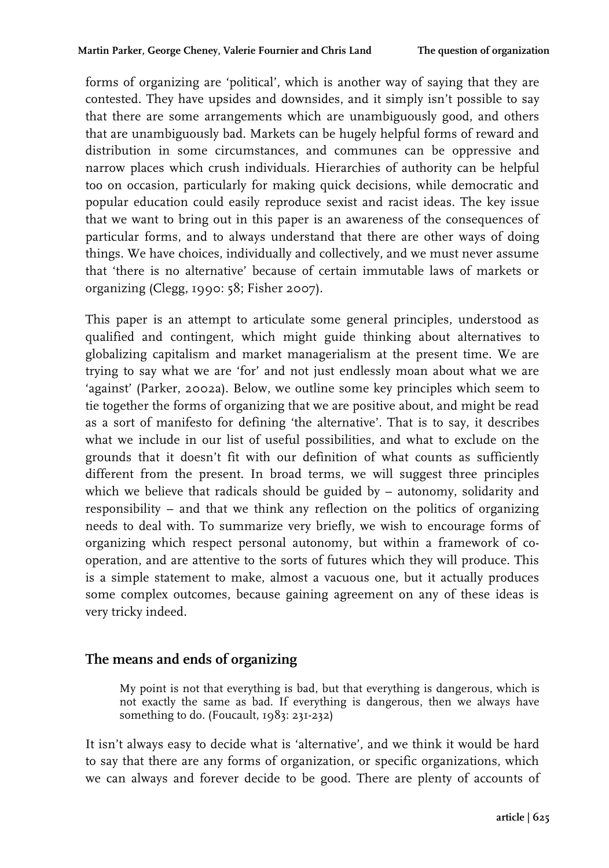forms of organizing are 'political', which is another way of saying that they are contested. They have upsides and downsides, and it simply isn't possible to say that there are some arrangements which are unambiguously good, and others that are unambiguously bad. Markets can be hugely helpful forms of reward and distribution in some circumstances, and communes can be oppressive and narrow places which crush individuals. Hierarchies of authority can be helpful too on occasion, particularly for making quick decisions, while democratic and popular education could easily reproduce sexist and racist ideas. The key issue that we want to bring out in this paper is an awareness of the consequences of particular forms, and to always understand that there are other ways of doing things. We have choices, individually and collectively, and we must never assume that 'there is no alternative' because of certain immutable laws of markets or organizing (Clegg, 1990: 58; Fisher 2007).

This paper is an attempt to articulate some general principles, understood as qualified and contingent, which might guide thinking about alternatives to globalizing capitalism and market managerialism at the present time. We are trying to say what we are 'for' and not just endlessly moan about what we are 'against' (Parker, 2002a). Below, we outline some key principles which seem to tie together the forms of organizing that we are positive about, and might be read as a sort of manifesto for defining 'the alternative'. That is to say, it describes what we include in our list of useful possibilities, and what to exclude on the grounds that it doesn't fit with our definition of what counts as sufficiently different from the present. In broad terms, we will suggest three principles which we believe that radicals should be guided by – autonomy, solidarity and responsibility – and that we think any reflection on the politics of organizing needs to deal with. To summarize very briefly, we wish to encourage forms of organizing which respect personal autonomy, but within a framework of cooperation, and are attentive to the sorts of futures which they will produce. This is a simple statement to make, almost a vacuous one, but it actually produces some complex outcomes, because gaining agreement on any of these ideas is very tricky indeed.

# **The means and ends of organizing**

My point is not that everything is bad, but that everything is dangerous, which is not exactly the same as bad. If everything is dangerous, then we always have something to do. (Foucault, 1983: 231-232)

It isn't always easy to decide what is 'alternative', and we think it would be hard to say that there are any forms of organization, or specific organizations, which we can always and forever decide to be good. There are plenty of accounts of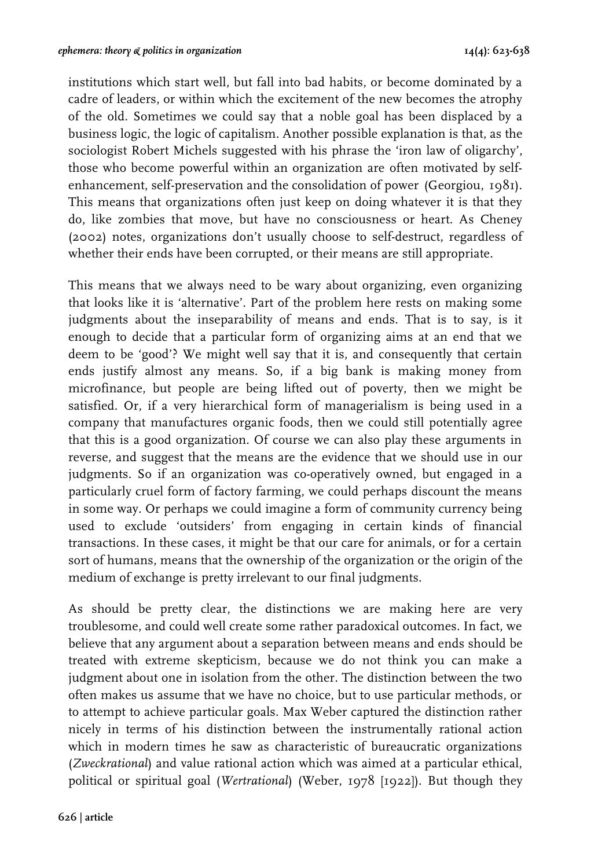institutions which start well, but fall into bad habits, or become dominated by a cadre of leaders, or within which the excitement of the new becomes the atrophy of the old. Sometimes we could say that a noble goal has been displaced by a business logic, the logic of capitalism. Another possible explanation is that, as the sociologist Robert Michels suggested with his phrase the 'iron law of oligarchy', those who become powerful within an organization are often motivated by selfenhancement, self-preservation and the consolidation of power (Georgiou, 1981). This means that organizations often just keep on doing whatever it is that they do, like zombies that move, but have no consciousness or heart. As Cheney (2002) notes, organizations don't usually choose to self-destruct, regardless of whether their ends have been corrupted, or their means are still appropriate.

This means that we always need to be wary about organizing, even organizing that looks like it is 'alternative'. Part of the problem here rests on making some judgments about the inseparability of means and ends. That is to say, is it enough to decide that a particular form of organizing aims at an end that we deem to be 'good'? We might well say that it is, and consequently that certain ends justify almost any means. So, if a big bank is making money from microfinance, but people are being lifted out of poverty, then we might be satisfied. Or, if a very hierarchical form of managerialism is being used in a company that manufactures organic foods, then we could still potentially agree that this is a good organization. Of course we can also play these arguments in reverse, and suggest that the means are the evidence that we should use in our judgments. So if an organization was co-operatively owned, but engaged in a particularly cruel form of factory farming, we could perhaps discount the means in some way. Or perhaps we could imagine a form of community currency being used to exclude 'outsiders' from engaging in certain kinds of financial transactions. In these cases, it might be that our care for animals, or for a certain sort of humans, means that the ownership of the organization or the origin of the medium of exchange is pretty irrelevant to our final judgments.

As should be pretty clear, the distinctions we are making here are very troublesome, and could well create some rather paradoxical outcomes. In fact, we believe that any argument about a separation between means and ends should be treated with extreme skepticism, because we do not think you can make a judgment about one in isolation from the other. The distinction between the two often makes us assume that we have no choice, but to use particular methods, or to attempt to achieve particular goals. Max Weber captured the distinction rather nicely in terms of his distinction between the instrumentally rational action which in modern times he saw as characteristic of bureaucratic organizations (*Zweckrational*) and value rational action which was aimed at a particular ethical, political or spiritual goal (*Wertrational*) (Weber, 1978 [1922]). But though they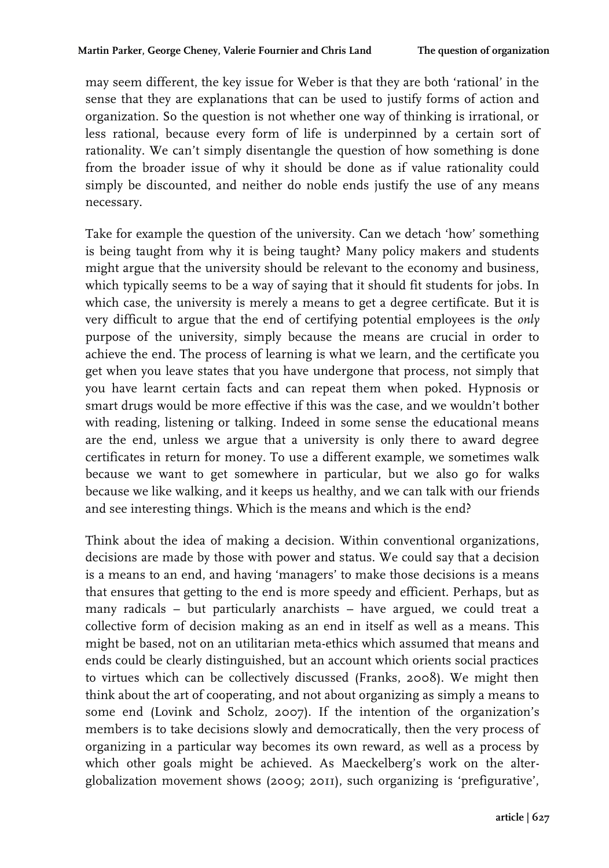may seem different, the key issue for Weber is that they are both 'rational' in the sense that they are explanations that can be used to justify forms of action and organization. So the question is not whether one way of thinking is irrational, or less rational, because every form of life is underpinned by a certain sort of rationality. We can't simply disentangle the question of how something is done from the broader issue of why it should be done as if value rationality could simply be discounted, and neither do noble ends justify the use of any means necessary.

Take for example the question of the university. Can we detach 'how' something is being taught from why it is being taught? Many policy makers and students might argue that the university should be relevant to the economy and business, which typically seems to be a way of saying that it should fit students for jobs. In which case, the university is merely a means to get a degree certificate. But it is very difficult to argue that the end of certifying potential employees is the *only* purpose of the university, simply because the means are crucial in order to achieve the end. The process of learning is what we learn, and the certificate you get when you leave states that you have undergone that process, not simply that you have learnt certain facts and can repeat them when poked. Hypnosis or smart drugs would be more effective if this was the case, and we wouldn't bother with reading, listening or talking. Indeed in some sense the educational means are the end, unless we argue that a university is only there to award degree certificates in return for money. To use a different example, we sometimes walk because we want to get somewhere in particular, but we also go for walks because we like walking, and it keeps us healthy, and we can talk with our friends and see interesting things. Which is the means and which is the end?

Think about the idea of making a decision. Within conventional organizations, decisions are made by those with power and status. We could say that a decision is a means to an end, and having 'managers' to make those decisions is a means that ensures that getting to the end is more speedy and efficient. Perhaps, but as many radicals – but particularly anarchists – have argued, we could treat a collective form of decision making as an end in itself as well as a means. This might be based, not on an utilitarian meta-ethics which assumed that means and ends could be clearly distinguished, but an account which orients social practices to virtues which can be collectively discussed (Franks, 2008). We might then think about the art of cooperating, and not about organizing as simply a means to some end (Lovink and Scholz, 2007). If the intention of the organization's members is to take decisions slowly and democratically, then the very process of organizing in a particular way becomes its own reward, as well as a process by which other goals might be achieved. As Maeckelberg's work on the alterglobalization movement shows (2009; 2011), such organizing is 'prefigurative',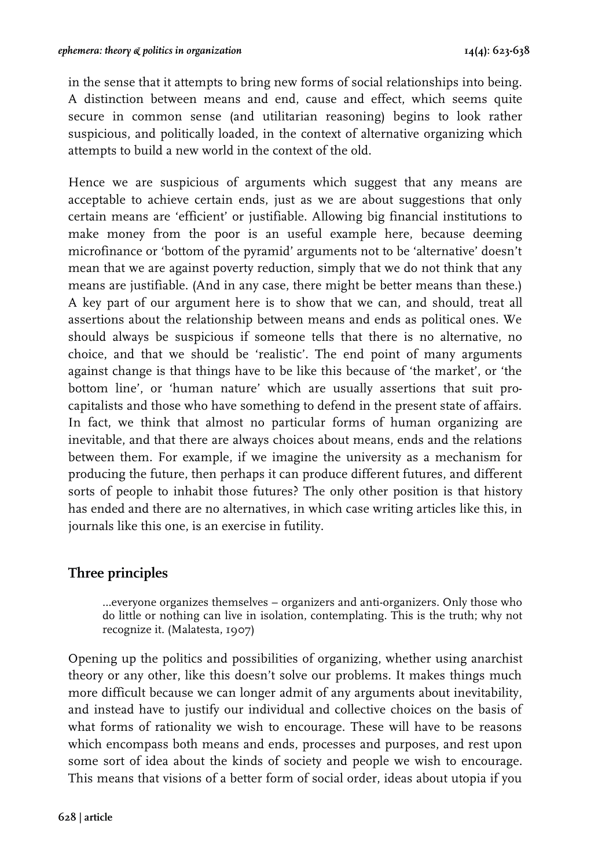in the sense that it attempts to bring new forms of social relationships into being. A distinction between means and end, cause and effect, which seems quite secure in common sense (and utilitarian reasoning) begins to look rather suspicious, and politically loaded, in the context of alternative organizing which attempts to build a new world in the context of the old.

Hence we are suspicious of arguments which suggest that any means are acceptable to achieve certain ends, just as we are about suggestions that only certain means are 'efficient' or justifiable. Allowing big financial institutions to make money from the poor is an useful example here, because deeming microfinance or 'bottom of the pyramid' arguments not to be 'alternative' doesn't mean that we are against poverty reduction, simply that we do not think that any means are justifiable. (And in any case, there might be better means than these.) A key part of our argument here is to show that we can, and should, treat all assertions about the relationship between means and ends as political ones. We should always be suspicious if someone tells that there is no alternative, no choice, and that we should be 'realistic'. The end point of many arguments against change is that things have to be like this because of 'the market', or 'the bottom line', or 'human nature' which are usually assertions that suit procapitalists and those who have something to defend in the present state of affairs. In fact, we think that almost no particular forms of human organizing are inevitable, and that there are always choices about means, ends and the relations between them. For example, if we imagine the university as a mechanism for producing the future, then perhaps it can produce different futures, and different sorts of people to inhabit those futures? The only other position is that history has ended and there are no alternatives, in which case writing articles like this, in journals like this one, is an exercise in futility.

## **Three principles**

…everyone organizes themselves – organizers and anti-organizers. Only those who do little or nothing can live in isolation, contemplating. This is the truth; why not recognize it. (Malatesta, 1907)

Opening up the politics and possibilities of organizing, whether using anarchist theory or any other, like this doesn't solve our problems. It makes things much more difficult because we can longer admit of any arguments about inevitability, and instead have to justify our individual and collective choices on the basis of what forms of rationality we wish to encourage. These will have to be reasons which encompass both means and ends, processes and purposes, and rest upon some sort of idea about the kinds of society and people we wish to encourage. This means that visions of a better form of social order, ideas about utopia if you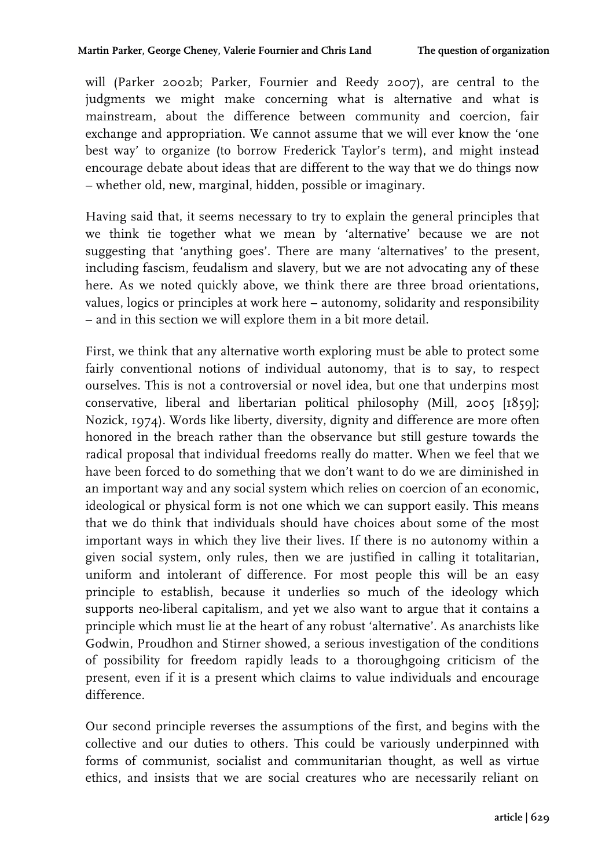will (Parker 2002b; Parker, Fournier and Reedy 2007), are central to the judgments we might make concerning what is alternative and what is mainstream, about the difference between community and coercion, fair exchange and appropriation. We cannot assume that we will ever know the 'one best way' to organize (to borrow Frederick Taylor's term), and might instead encourage debate about ideas that are different to the way that we do things now – whether old, new, marginal, hidden, possible or imaginary.

Having said that, it seems necessary to try to explain the general principles that we think tie together what we mean by 'alternative' because we are not suggesting that 'anything goes'. There are many 'alternatives' to the present, including fascism, feudalism and slavery, but we are not advocating any of these here. As we noted quickly above, we think there are three broad orientations, values, logics or principles at work here – autonomy, solidarity and responsibility – and in this section we will explore them in a bit more detail.

First, we think that any alternative worth exploring must be able to protect some fairly conventional notions of individual autonomy, that is to say, to respect ourselves. This is not a controversial or novel idea, but one that underpins most conservative, liberal and libertarian political philosophy (Mill, 2005 [1859]; Nozick, 1974). Words like liberty, diversity, dignity and difference are more often honored in the breach rather than the observance but still gesture towards the radical proposal that individual freedoms really do matter. When we feel that we have been forced to do something that we don't want to do we are diminished in an important way and any social system which relies on coercion of an economic, ideological or physical form is not one which we can support easily. This means that we do think that individuals should have choices about some of the most important ways in which they live their lives. If there is no autonomy within a given social system, only rules, then we are justified in calling it totalitarian, uniform and intolerant of difference. For most people this will be an easy principle to establish, because it underlies so much of the ideology which supports neo-liberal capitalism, and yet we also want to argue that it contains a principle which must lie at the heart of any robust 'alternative'. As anarchists like Godwin, Proudhon and Stirner showed, a serious investigation of the conditions of possibility for freedom rapidly leads to a thoroughgoing criticism of the present, even if it is a present which claims to value individuals and encourage difference.

Our second principle reverses the assumptions of the first, and begins with the collective and our duties to others. This could be variously underpinned with forms of communist, socialist and communitarian thought, as well as virtue ethics, and insists that we are social creatures who are necessarily reliant on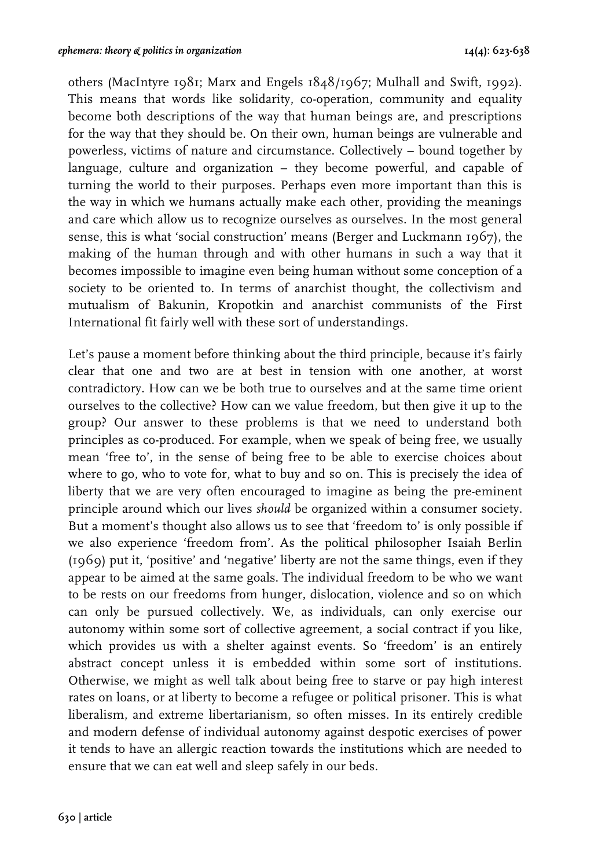others (MacIntyre 1981; Marx and Engels 1848/1967; Mulhall and Swift, 1992). This means that words like solidarity, co-operation, community and equality become both descriptions of the way that human beings are, and prescriptions for the way that they should be. On their own, human beings are vulnerable and powerless, victims of nature and circumstance. Collectively – bound together by language, culture and organization – they become powerful, and capable of turning the world to their purposes. Perhaps even more important than this is the way in which we humans actually make each other, providing the meanings and care which allow us to recognize ourselves as ourselves. In the most general sense, this is what 'social construction' means (Berger and Luckmann 1967), the making of the human through and with other humans in such a way that it becomes impossible to imagine even being human without some conception of a society to be oriented to. In terms of anarchist thought, the collectivism and mutualism of Bakunin, Kropotkin and anarchist communists of the First International fit fairly well with these sort of understandings.

Let's pause a moment before thinking about the third principle, because it's fairly clear that one and two are at best in tension with one another, at worst contradictory. How can we be both true to ourselves and at the same time orient ourselves to the collective? How can we value freedom, but then give it up to the group? Our answer to these problems is that we need to understand both principles as co-produced. For example, when we speak of being free, we usually mean 'free to', in the sense of being free to be able to exercise choices about where to go, who to vote for, what to buy and so on. This is precisely the idea of liberty that we are very often encouraged to imagine as being the pre-eminent principle around which our lives *should* be organized within a consumer society. But a moment's thought also allows us to see that 'freedom to' is only possible if we also experience 'freedom from'. As the political philosopher Isaiah Berlin (1969) put it, 'positive' and 'negative' liberty are not the same things, even if they appear to be aimed at the same goals. The individual freedom to be who we want to be rests on our freedoms from hunger, dislocation, violence and so on which can only be pursued collectively. We, as individuals, can only exercise our autonomy within some sort of collective agreement, a social contract if you like, which provides us with a shelter against events. So 'freedom' is an entirely abstract concept unless it is embedded within some sort of institutions. Otherwise, we might as well talk about being free to starve or pay high interest rates on loans, or at liberty to become a refugee or political prisoner. This is what liberalism, and extreme libertarianism, so often misses. In its entirely credible and modern defense of individual autonomy against despotic exercises of power it tends to have an allergic reaction towards the institutions which are needed to ensure that we can eat well and sleep safely in our beds.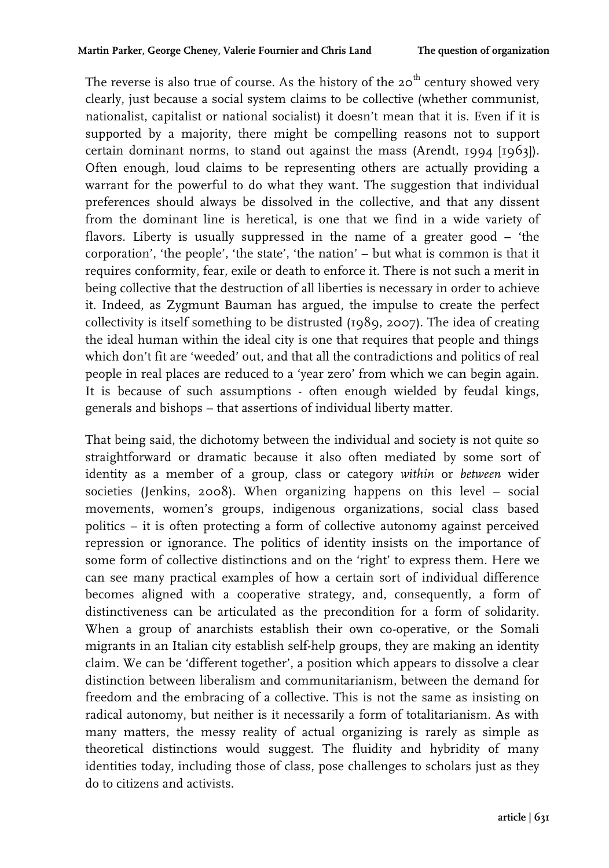The reverse is also true of course. As the history of the  $20^{th}$  century showed very clearly, just because a social system claims to be collective (whether communist, nationalist, capitalist or national socialist) it doesn't mean that it is. Even if it is supported by a majority, there might be compelling reasons not to support certain dominant norms, to stand out against the mass (Arendt, 1994 [1963]). Often enough, loud claims to be representing others are actually providing a warrant for the powerful to do what they want. The suggestion that individual preferences should always be dissolved in the collective, and that any dissent from the dominant line is heretical, is one that we find in a wide variety of flavors. Liberty is usually suppressed in the name of a greater good – 'the corporation', 'the people', 'the state', 'the nation' – but what is common is that it requires conformity, fear, exile or death to enforce it. There is not such a merit in being collective that the destruction of all liberties is necessary in order to achieve it. Indeed, as Zygmunt Bauman has argued, the impulse to create the perfect collectivity is itself something to be distrusted (1989, 2007). The idea of creating the ideal human within the ideal city is one that requires that people and things which don't fit are 'weeded' out, and that all the contradictions and politics of real people in real places are reduced to a 'year zero' from which we can begin again. It is because of such assumptions - often enough wielded by feudal kings, generals and bishops – that assertions of individual liberty matter.

That being said, the dichotomy between the individual and society is not quite so straightforward or dramatic because it also often mediated by some sort of identity as a member of a group, class or category *within* or *between* wider societies (Jenkins, 2008). When organizing happens on this level – social movements, women's groups, indigenous organizations, social class based politics – it is often protecting a form of collective autonomy against perceived repression or ignorance. The politics of identity insists on the importance of some form of collective distinctions and on the 'right' to express them. Here we can see many practical examples of how a certain sort of individual difference becomes aligned with a cooperative strategy, and, consequently, a form of distinctiveness can be articulated as the precondition for a form of solidarity. When a group of anarchists establish their own co-operative, or the Somali migrants in an Italian city establish self-help groups, they are making an identity claim. We can be 'different together', a position which appears to dissolve a clear distinction between liberalism and communitarianism, between the demand for freedom and the embracing of a collective. This is not the same as insisting on radical autonomy, but neither is it necessarily a form of totalitarianism. As with many matters, the messy reality of actual organizing is rarely as simple as theoretical distinctions would suggest. The fluidity and hybridity of many identities today, including those of class, pose challenges to scholars just as they do to citizens and activists.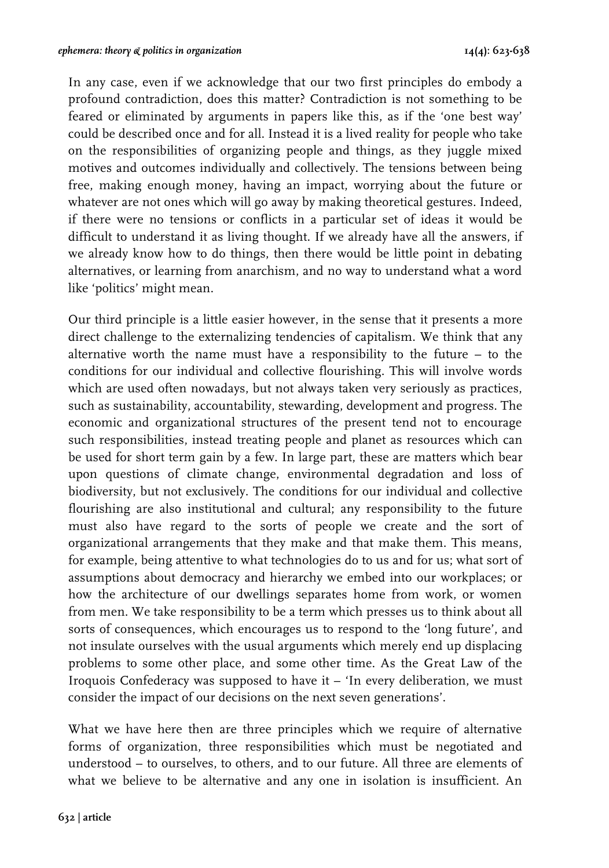In any case, even if we acknowledge that our two first principles do embody a profound contradiction, does this matter? Contradiction is not something to be feared or eliminated by arguments in papers like this, as if the 'one best way' could be described once and for all. Instead it is a lived reality for people who take on the responsibilities of organizing people and things, as they juggle mixed motives and outcomes individually and collectively. The tensions between being free, making enough money, having an impact, worrying about the future or whatever are not ones which will go away by making theoretical gestures. Indeed, if there were no tensions or conflicts in a particular set of ideas it would be difficult to understand it as living thought. If we already have all the answers, if we already know how to do things, then there would be little point in debating alternatives, or learning from anarchism, and no way to understand what a word like 'politics' might mean.

Our third principle is a little easier however, in the sense that it presents a more direct challenge to the externalizing tendencies of capitalism. We think that any alternative worth the name must have a responsibility to the future – to the conditions for our individual and collective flourishing. This will involve words which are used often nowadays, but not always taken very seriously as practices, such as sustainability, accountability, stewarding, development and progress. The economic and organizational structures of the present tend not to encourage such responsibilities, instead treating people and planet as resources which can be used for short term gain by a few. In large part, these are matters which bear upon questions of climate change, environmental degradation and loss of biodiversity, but not exclusively. The conditions for our individual and collective flourishing are also institutional and cultural; any responsibility to the future must also have regard to the sorts of people we create and the sort of organizational arrangements that they make and that make them. This means, for example, being attentive to what technologies do to us and for us; what sort of assumptions about democracy and hierarchy we embed into our workplaces; or how the architecture of our dwellings separates home from work, or women from men. We take responsibility to be a term which presses us to think about all sorts of consequences, which encourages us to respond to the 'long future', and not insulate ourselves with the usual arguments which merely end up displacing problems to some other place, and some other time. As the Great Law of the Iroquois Confederacy was supposed to have it – 'In every deliberation, we must consider the impact of our decisions on the next seven generations'.

What we have here then are three principles which we require of alternative forms of organization, three responsibilities which must be negotiated and understood – to ourselves, to others, and to our future. All three are elements of what we believe to be alternative and any one in isolation is insufficient. An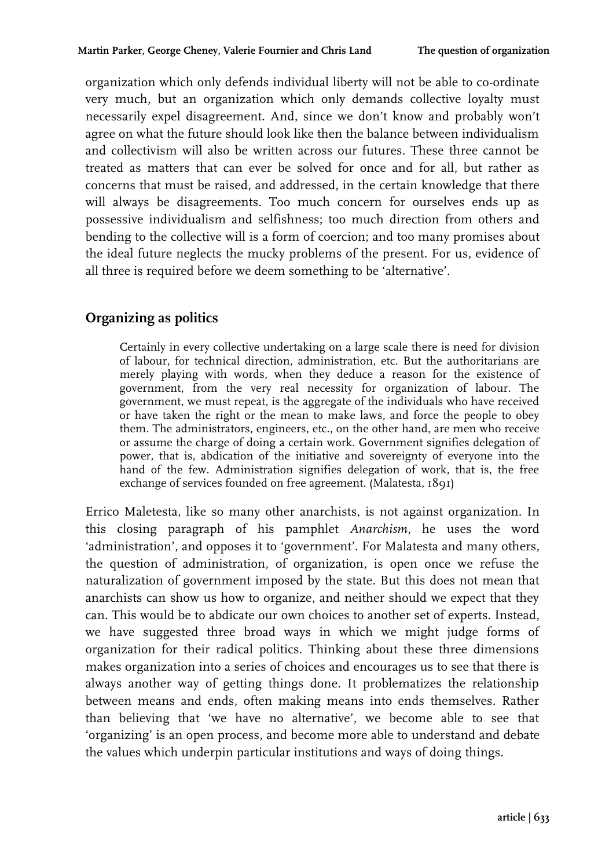organization which only defends individual liberty will not be able to co-ordinate very much, but an organization which only demands collective loyalty must necessarily expel disagreement. And, since we don't know and probably won't agree on what the future should look like then the balance between individualism and collectivism will also be written across our futures. These three cannot be treated as matters that can ever be solved for once and for all, but rather as concerns that must be raised, and addressed, in the certain knowledge that there will always be disagreements. Too much concern for ourselves ends up as possessive individualism and selfishness; too much direction from others and bending to the collective will is a form of coercion; and too many promises about the ideal future neglects the mucky problems of the present. For us, evidence of all three is required before we deem something to be 'alternative'.

## **Organizing as politics**

Certainly in every collective undertaking on a large scale there is need for division of labour, for technical direction, administration, etc. But the authoritarians are merely playing with words, when they deduce a reason for the existence of government, from the very real necessity for organization of labour. The government, we must repeat, is the aggregate of the individuals who have received or have taken the right or the mean to make laws, and force the people to obey them. The administrators, engineers, etc., on the other hand, are men who receive or assume the charge of doing a certain work. Government signifies delegation of power, that is, abdication of the initiative and sovereignty of everyone into the hand of the few. Administration signifies delegation of work, that is, the free exchange of services founded on free agreement. (Malatesta, 1891)

Errico Maletesta, like so many other anarchists, is not against organization. In this closing paragraph of his pamphlet *Anarchism*, he uses the word 'administration', and opposes it to 'government'. For Malatesta and many others, the question of administration, of organization, is open once we refuse the naturalization of government imposed by the state. But this does not mean that anarchists can show us how to organize, and neither should we expect that they can. This would be to abdicate our own choices to another set of experts. Instead, we have suggested three broad ways in which we might judge forms of organization for their radical politics. Thinking about these three dimensions makes organization into a series of choices and encourages us to see that there is always another way of getting things done. It problematizes the relationship between means and ends, often making means into ends themselves. Rather than believing that 'we have no alternative', we become able to see that 'organizing' is an open process, and become more able to understand and debate the values which underpin particular institutions and ways of doing things.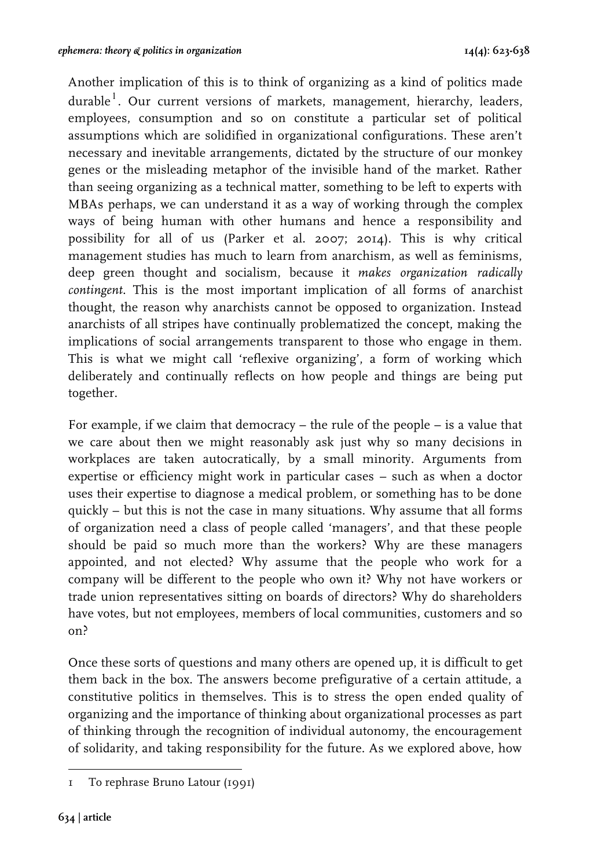Another implication of this is to think of organizing as a kind of politics made durable<sup>1</sup>. Our current versions of markets, management, hierarchy, leaders, employees, consumption and so on constitute a particular set of political assumptions which are solidified in organizational configurations. These aren't necessary and inevitable arrangements, dictated by the structure of our monkey genes or the misleading metaphor of the invisible hand of the market. Rather than seeing organizing as a technical matter, something to be left to experts with MBAs perhaps, we can understand it as a way of working through the complex ways of being human with other humans and hence a responsibility and possibility for all of us (Parker et al. 2007; 2014). This is why critical management studies has much to learn from anarchism, as well as feminisms, deep green thought and socialism, because it *makes organization radically contingent*. This is the most important implication of all forms of anarchist thought, the reason why anarchists cannot be opposed to organization. Instead anarchists of all stripes have continually problematized the concept, making the implications of social arrangements transparent to those who engage in them. This is what we might call 'reflexive organizing', a form of working which deliberately and continually reflects on how people and things are being put together.

For example, if we claim that democracy – the rule of the people – is a value that we care about then we might reasonably ask just why so many decisions in workplaces are taken autocratically, by a small minority. Arguments from expertise or efficiency might work in particular cases – such as when a doctor uses their expertise to diagnose a medical problem, or something has to be done quickly – but this is not the case in many situations. Why assume that all forms of organization need a class of people called 'managers', and that these people should be paid so much more than the workers? Why are these managers appointed, and not elected? Why assume that the people who work for a company will be different to the people who own it? Why not have workers or trade union representatives sitting on boards of directors? Why do shareholders have votes, but not employees, members of local communities, customers and so on?

Once these sorts of questions and many others are opened up, it is difficult to get them back in the box. The answers become prefigurative of a certain attitude, a constitutive politics in themselves. This is to stress the open ended quality of organizing and the importance of thinking about organizational processes as part of thinking through the recognition of individual autonomy, the encouragement of solidarity, and taking responsibility for the future. As we explored above, how

 1 To rephrase Bruno Latour (1991)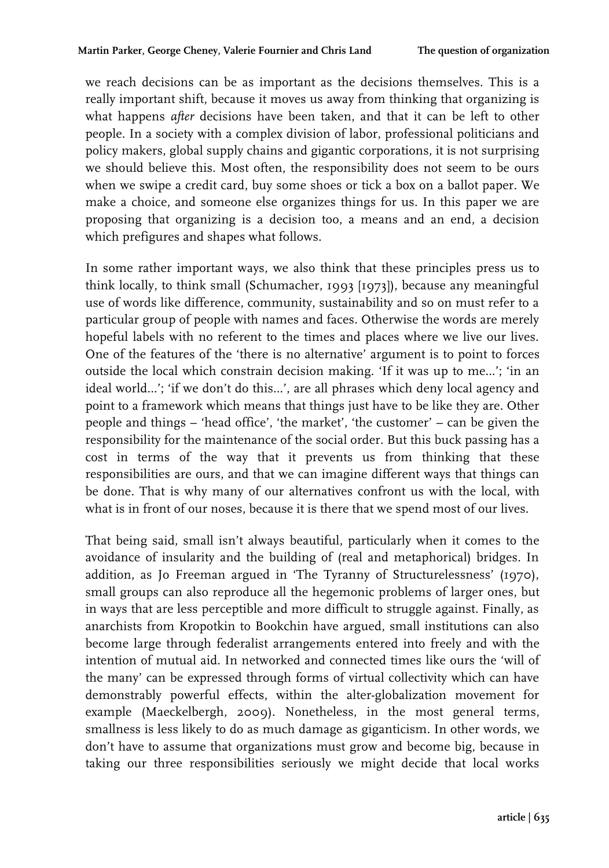we reach decisions can be as important as the decisions themselves. This is a really important shift, because it moves us away from thinking that organizing is what happens *after* decisions have been taken, and that it can be left to other people. In a society with a complex division of labor, professional politicians and policy makers, global supply chains and gigantic corporations, it is not surprising we should believe this. Most often, the responsibility does not seem to be ours when we swipe a credit card, buy some shoes or tick a box on a ballot paper. We make a choice, and someone else organizes things for us. In this paper we are proposing that organizing is a decision too, a means and an end, a decision which prefigures and shapes what follows.

In some rather important ways, we also think that these principles press us to think locally, to think small (Schumacher, 1993 [1973]), because any meaningful use of words like difference, community, sustainability and so on must refer to a particular group of people with names and faces. Otherwise the words are merely hopeful labels with no referent to the times and places where we live our lives. One of the features of the 'there is no alternative' argument is to point to forces outside the local which constrain decision making. 'If it was up to me…'; 'in an ideal world…'; 'if we don't do this…', are all phrases which deny local agency and point to a framework which means that things just have to be like they are. Other people and things – 'head office', 'the market', 'the customer' – can be given the responsibility for the maintenance of the social order. But this buck passing has a cost in terms of the way that it prevents us from thinking that these responsibilities are ours, and that we can imagine different ways that things can be done. That is why many of our alternatives confront us with the local, with what is in front of our noses, because it is there that we spend most of our lives.

That being said, small isn't always beautiful, particularly when it comes to the avoidance of insularity and the building of (real and metaphorical) bridges. In addition, as Jo Freeman argued in 'The Tyranny of Structurelessness' (1970), small groups can also reproduce all the hegemonic problems of larger ones, but in ways that are less perceptible and more difficult to struggle against. Finally, as anarchists from Kropotkin to Bookchin have argued, small institutions can also become large through federalist arrangements entered into freely and with the intention of mutual aid. In networked and connected times like ours the 'will of the many' can be expressed through forms of virtual collectivity which can have demonstrably powerful effects, within the alter-globalization movement for example (Maeckelbergh, 2009). Nonetheless, in the most general terms, smallness is less likely to do as much damage as giganticism. In other words, we don't have to assume that organizations must grow and become big, because in taking our three responsibilities seriously we might decide that local works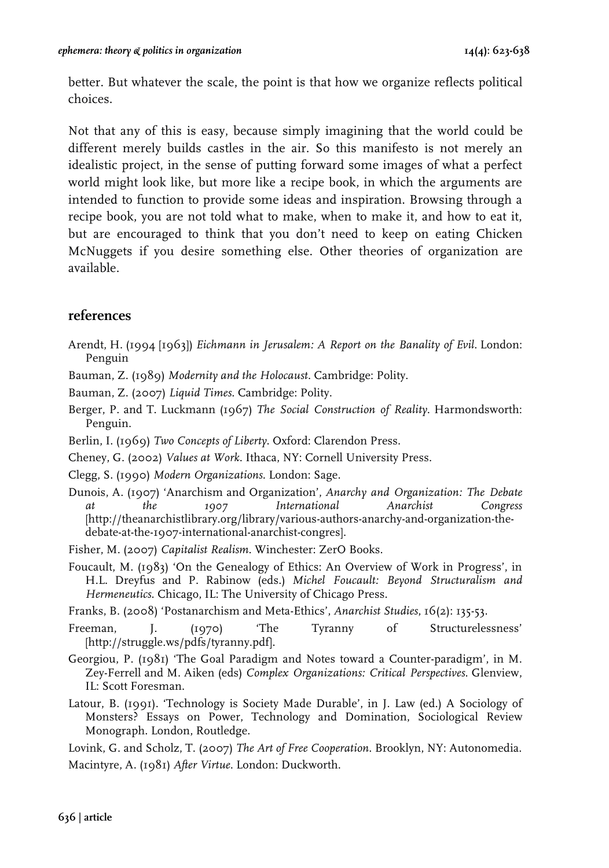better. But whatever the scale, the point is that how we organize reflects political choices.

Not that any of this is easy, because simply imagining that the world could be different merely builds castles in the air. So this manifesto is not merely an idealistic project, in the sense of putting forward some images of what a perfect world might look like, but more like a recipe book, in which the arguments are intended to function to provide some ideas and inspiration. Browsing through a recipe book, you are not told what to make, when to make it, and how to eat it, but are encouraged to think that you don't need to keep on eating Chicken McNuggets if you desire something else. Other theories of organization are available.

#### **references**

- Arendt, H. (1994 [1963]) *Eichmann in Jerusalem: A Report on the Banality of Evil*. London: Penguin
- Bauman, Z. (1989) *Modernity and the Holocaust*. Cambridge: Polity.

Bauman, Z. (2007) *Liquid Times*. Cambridge: Polity.

- Berger, P. and T. Luckmann (1967) *The Social Construction of Reality*. Harmondsworth: Penguin.
- Berlin, I. (1969) *Two Concepts of Liberty*. Oxford: Clarendon Press.
- Cheney, G. (2002) *Values at Work*. Ithaca, NY: Cornell University Press.
- Clegg, S. (1990) *Modern Organizations*. London: Sage.
- Dunois, A. (1907) 'Anarchism and Organization', *Anarchy and Organization: The Debate at the 1907 International Anarchist Congress* [http://theanarchistlibrary.org/library/various-authors-anarchy-and-organization-thedebate-at-the-1907-international-anarchist-congres].
- Fisher, M. (2007) *Capitalist Realism*. Winchester: ZerO Books.
- Foucault, M. (1983) 'On the Genealogy of Ethics: An Overview of Work in Progress', in H.L. Dreyfus and P. Rabinow (eds.) *Michel Foucault: Beyond Structuralism and Hermeneutics*. Chicago, IL: The University of Chicago Press.

Franks, B. (2008) 'Postanarchism and Meta-Ethics', *Anarchist Studies*, 16(2): 135-53.

- Freeman, J. (1970) The Tyranny of Structurelessness' [http://struggle.ws/pdfs/tyranny.pdf].
- Georgiou, P. (1981) 'The Goal Paradigm and Notes toward a Counter-paradigm', in M. Zey-Ferrell and M. Aiken (eds) *Complex Organizations: Critical Perspectives*. Glenview, IL: Scott Foresman.
- Latour, B. (1991). 'Technology is Society Made Durable', in J. Law (ed.) A Sociology of Monsters? Essays on Power, Technology and Domination, Sociological Review Monograph. London, Routledge.

Lovink, G. and Scholz, T. (2007) *The Art of Free Cooperation*. Brooklyn, NY: Autonomedia. Macintyre, A. (1981) *After Virtue*. London: Duckworth.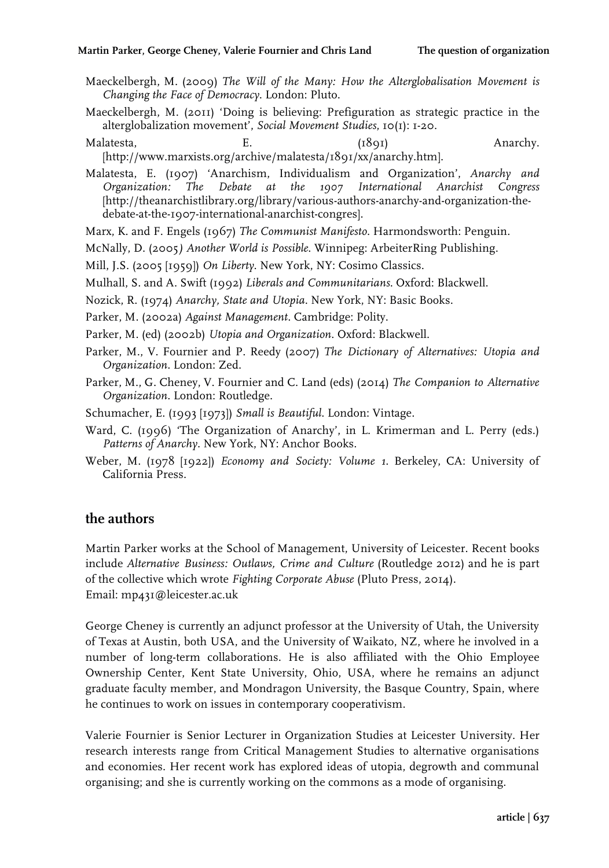- Maeckelbergh, M. (2009) *The Will of the Many: How the Alterglobalisation Movement is Changing the Face of Democracy*. London: Pluto.
- Maeckelbergh, M. (2011) 'Doing is believing: Prefiguration as strategic practice in the alterglobalization movement', *Social Movement Studies*, 10(1): 1-20.
- Malatesta, E. (1891) Anarchy. [http://www.marxists.org/archive/malatesta/1891/xx/anarchy.htm].
- Malatesta, E. (1907) 'Anarchism, Individualism and Organization', *Anarchy and Organization: The Debate at the 1907 International Anarchist Congress* [http://theanarchistlibrary.org/library/various-authors-anarchy-and-organization-thedebate-at-the-1907-international-anarchist-congres].
- Marx, K. and F. Engels (1967) *The Communist Manifesto*. Harmondsworth: Penguin.
- McNally, D. (2005*) Another World is Possible*. Winnipeg: ArbeiterRing Publishing.
- Mill, J.S. (2005 [1959]) *On Liberty*. New York, NY: Cosimo Classics.
- Mulhall, S. and A. Swift (1992) *Liberals and Communitarians*. Oxford: Blackwell.
- Nozick, R. (1974) *Anarchy, State and Utopia*. New York, NY: Basic Books.
- Parker, M. (2002a) *Against Management*. Cambridge: Polity.
- Parker, M. (ed) (2002b) *Utopia and Organization*. Oxford: Blackwell.
- Parker, M., V. Fournier and P. Reedy (2007) *The Dictionary of Alternatives: Utopia and Organization*. London: Zed.
- Parker, M., G. Cheney, V. Fournier and C. Land (eds) (2014) *The Companion to Alternative Organization*. London: Routledge.
- Schumacher, E. (1993 [1973]) *Small is Beautiful*. London: Vintage.
- Ward, C. (1996) 'The Organization of Anarchy', in L. Krimerman and L. Perry (eds.) *Patterns of Anarchy*. New York, NY: Anchor Books.
- Weber, M. (1978 [1922]) *Economy and Society: Volume 1*. Berkeley, CA: University of California Press.

#### **the authors**

Martin Parker works at the School of Management, University of Leicester. Recent books include *Alternative Business: Outlaws, Crime and Culture* (Routledge 2012) and he is part of the collective which wrote *Fighting Corporate Abuse* (Pluto Press, 2014). Email: mp431@leicester.ac.uk

George Cheney is currently an adjunct professor at the University of Utah, the University of Texas at Austin, both USA, and the University of Waikato, NZ, where he involved in a number of long-term collaborations. He is also affiliated with the Ohio Employee Ownership Center, Kent State University, Ohio, USA, where he remains an adjunct graduate faculty member, and Mondragon University, the Basque Country, Spain, where he continues to work on issues in contemporary cooperativism.

Valerie Fournier is Senior Lecturer in Organization Studies at Leicester University. Her research interests range from Critical Management Studies to alternative organisations and economies. Her recent work has explored ideas of utopia, degrowth and communal organising; and she is currently working on the commons as a mode of organising.